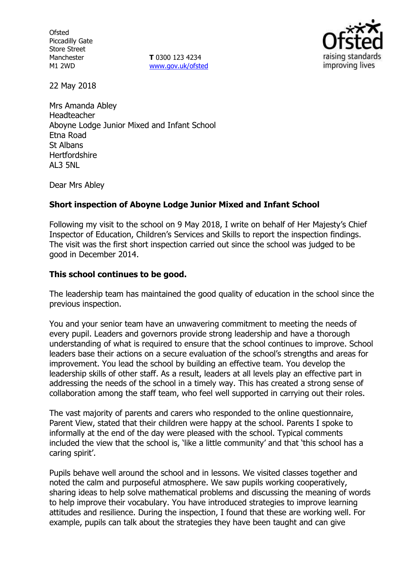**Ofsted** Piccadilly Gate Store Street Manchester M1 2WD

**T** 0300 123 4234 www.gov.uk/ofsted



22 May 2018

Mrs Amanda Abley Headteacher Aboyne Lodge Junior Mixed and Infant School Etna Road St Albans **Hertfordshire** AL3 5NL

Dear Mrs Abley

## **Short inspection of Aboyne Lodge Junior Mixed and Infant School**

Following my visit to the school on 9 May 2018, I write on behalf of Her Majesty's Chief Inspector of Education, Children's Services and Skills to report the inspection findings. The visit was the first short inspection carried out since the school was judged to be good in December 2014.

## **This school continues to be good.**

The leadership team has maintained the good quality of education in the school since the previous inspection.

You and your senior team have an unwavering commitment to meeting the needs of every pupil. Leaders and governors provide strong leadership and have a thorough understanding of what is required to ensure that the school continues to improve. School leaders base their actions on a secure evaluation of the school's strengths and areas for improvement. You lead the school by building an effective team. You develop the leadership skills of other staff. As a result, leaders at all levels play an effective part in addressing the needs of the school in a timely way. This has created a strong sense of collaboration among the staff team, who feel well supported in carrying out their roles.

The vast majority of parents and carers who responded to the online questionnaire, Parent View, stated that their children were happy at the school. Parents I spoke to informally at the end of the day were pleased with the school. Typical comments included the view that the school is, 'like a little community' and that 'this school has a caring spirit'.

Pupils behave well around the school and in lessons. We visited classes together and noted the calm and purposeful atmosphere. We saw pupils working cooperatively, sharing ideas to help solve mathematical problems and discussing the meaning of words to help improve their vocabulary. You have introduced strategies to improve learning attitudes and resilience. During the inspection, I found that these are working well. For example, pupils can talk about the strategies they have been taught and can give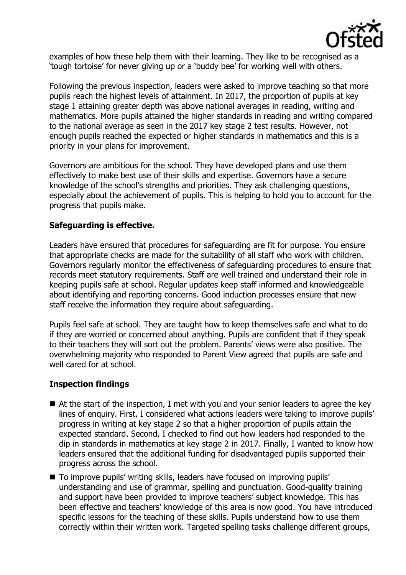

examples of how these help them with their learning. They like to be recognised as a 'tough tortoise' for never giving up or a 'buddy bee' for working well with others.

Following the previous inspection, leaders were asked to improve teaching so that more pupils reach the highest levels of attainment. In 2017, the proportion of pupils at key stage 1 attaining greater depth was above national averages in reading, writing and mathematics. More pupils attained the higher standards in reading and writing compared to the national average as seen in the 2017 key stage 2 test results. However, not enough pupils reached the expected or higher standards in mathematics and this is a priority in your plans for improvement.

Governors are ambitious for the school. They have developed plans and use them effectively to make best use of their skills and expertise. Governors have a secure knowledge of the school's strengths and priorities. They ask challenging questions, especially about the achievement of pupils. This is helping to hold you to account for the progress that pupils make.

# **Safeguarding is effective.**

Leaders have ensured that procedures for safeguarding are fit for purpose. You ensure that appropriate checks are made for the suitability of all staff who work with children. Governors regularly monitor the effectiveness of safeguarding procedures to ensure that records meet statutory requirements. Staff are well trained and understand their role in keeping pupils safe at school. Regular updates keep staff informed and knowledgeable about identifying and reporting concerns. Good induction processes ensure that new staff receive the information they require about safeguarding.

Pupils feel safe at school. They are taught how to keep themselves safe and what to do if they are worried or concerned about anything. Pupils are confident that if they speak to their teachers they will sort out the problem. Parents' views were also positive. The overwhelming majority who responded to Parent View agreed that pupils are safe and well cared for at school.

## **Inspection findings**

- At the start of the inspection, I met with you and your senior leaders to agree the key lines of enquiry. First, I considered what actions leaders were taking to improve pupils' progress in writing at key stage 2 so that a higher proportion of pupils attain the expected standard. Second, I checked to find out how leaders had responded to the dip in standards in mathematics at key stage 2 in 2017. Finally, I wanted to know how leaders ensured that the additional funding for disadvantaged pupils supported their progress across the school.
- To improve pupils' writing skills, leaders have focused on improving pupils' understanding and use of grammar, spelling and punctuation. Good-quality training and support have been provided to improve teachers' subject knowledge. This has been effective and teachers' knowledge of this area is now good. You have introduced specific lessons for the teaching of these skills. Pupils understand how to use them correctly within their written work. Targeted spelling tasks challenge different groups,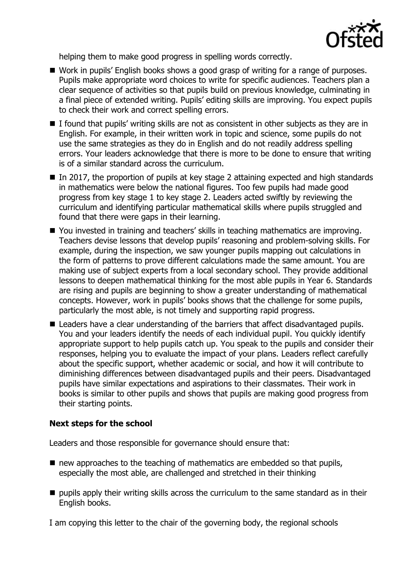

helping them to make good progress in spelling words correctly.

- Work in pupils' English books shows a good grasp of writing for a range of purposes. Pupils make appropriate word choices to write for specific audiences. Teachers plan a clear sequence of activities so that pupils build on previous knowledge, culminating in a final piece of extended writing. Pupils' editing skills are improving. You expect pupils to check their work and correct spelling errors.
- I found that pupils' writing skills are not as consistent in other subjects as they are in English. For example, in their written work in topic and science, some pupils do not use the same strategies as they do in English and do not readily address spelling errors. Your leaders acknowledge that there is more to be done to ensure that writing is of a similar standard across the curriculum.
- $\blacksquare$  In 2017, the proportion of pupils at key stage 2 attaining expected and high standards in mathematics were below the national figures. Too few pupils had made good progress from key stage 1 to key stage 2. Leaders acted swiftly by reviewing the curriculum and identifying particular mathematical skills where pupils struggled and found that there were gaps in their learning.
- You invested in training and teachers' skills in teaching mathematics are improving. Teachers devise lessons that develop pupils' reasoning and problem-solving skills. For example, during the inspection, we saw younger pupils mapping out calculations in the form of patterns to prove different calculations made the same amount. You are making use of subject experts from a local secondary school. They provide additional lessons to deepen mathematical thinking for the most able pupils in Year 6. Standards are rising and pupils are beginning to show a greater understanding of mathematical concepts. However, work in pupils' books shows that the challenge for some pupils, particularly the most able, is not timely and supporting rapid progress.
- Leaders have a clear understanding of the barriers that affect disadvantaged pupils. You and your leaders identify the needs of each individual pupil. You quickly identify appropriate support to help pupils catch up. You speak to the pupils and consider their responses, helping you to evaluate the impact of your plans. Leaders reflect carefully about the specific support, whether academic or social, and how it will contribute to diminishing differences between disadvantaged pupils and their peers. Disadvantaged pupils have similar expectations and aspirations to their classmates. Their work in books is similar to other pupils and shows that pupils are making good progress from their starting points.

## **Next steps for the school**

Leaders and those responsible for governance should ensure that:

- $\blacksquare$  new approaches to the teaching of mathematics are embedded so that pupils, especially the most able, are challenged and stretched in their thinking
- **P** pupils apply their writing skills across the curriculum to the same standard as in their English books.

I am copying this letter to the chair of the governing body, the regional schools